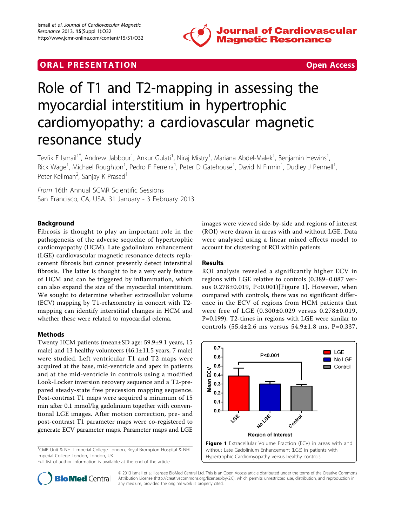

## **ORAL PRESENTATION CONSUMING ACCESS**



# Role of T1 and T2-mapping in assessing the myocardial interstitium in hypertrophic cardiomyopathy: a cardiovascular magnetic resonance study

Tevfik F Ismail<sup>1\*</sup>, Andrew Jabbour<sup>1</sup>, Ankur Gulati<sup>1</sup>, Niraj Mistry<sup>1</sup>, Mariana Abdel-Malek<sup>1</sup>, Benjamin Hewins<sup>1</sup> , Rick Wage<sup>1</sup>, Michael Roughton<sup>1</sup>, Pedro F Ferreira<sup>1</sup>, Peter D Gatehouse<sup>1</sup>, David N Firmin<sup>1</sup>, Dudley J Pennell<sup>1</sup> , Peter Kellman<sup>2</sup>, Sanjay K Prasad<sup>1</sup>

From 16th Annual SCMR Scientific Sessions San Francisco, CA, USA. 31 January - 3 February 2013

### Background

Fibrosis is thought to play an important role in the pathogenesis of the adverse sequelae of hypertrophic cardiomyopathy (HCM). Late gadolinium enhancement (LGE) cardiovascular magnetic resonance detects replacement fibrosis but cannot presently detect interstitial fibrosis. The latter is thought to be a very early feature of HCM and can be triggered by inflammation, which can also expand the size of the myocardial interstitium. We sought to determine whether extracellular volume (ECV) mapping by T1-relaxometry in concert with T2 mapping can identify interstitial changes in HCM and whether these were related to myocardial edema.

#### Methods

Twenty HCM patients (mean±SD age: 59.9±9.1 years, 15 male) and 13 healthy volunteers (46.1±11.5 years, 7 male) were studied. Left ventricular T1 and T2 maps were acquired at the base, mid-ventricle and apex in patients and at the mid-ventricle in controls using a modified Look-Locker inversion recovery sequence and a T2-prepared steady-state free precession mapping sequence. Post-contrast T1 maps were acquired a minimum of 15 min after 0.1 mmol/kg gadolinium together with conventional LGE images. After motion correction, pre- and post-contrast T1 parameter maps were co-registered to generate ECV parameter maps. Parameter maps and LGE

<sup>1</sup>CMR Unit & NHLI Imperial College London, Royal Brompton Hospital & NHLI Imperial College London, London, UK

Full list of author information is available at the end of the article

images were viewed side-by-side and regions of interest (ROI) were drawn in areas with and without LGE. Data were analysed using a linear mixed effects model to account for clustering of ROI within patients.

#### Results

ROI analysis revealed a significantly higher ECV in regions with LGE relative to controls (0.389±0.087 versus 0.278±0.019, P<0.001)[Figure 1]. However, when compared with controls, there was no significant difference in the ECV of regions from HCM patients that were free of LGE (0.300±0.029 versus 0.278±0.019, P=0.199). T2-times in regions with LGE were similar to controls (55.4±2.6 ms versus 54.9±1.8 ms, P=0.337,





© 2013 Ismail et al; licensee BioMed Central Ltd. This is an Open Access article distributed under the terms of the Creative Commons Attribution License [\(http://creativecommons.org/licenses/by/2.0](http://creativecommons.org/licenses/by/2.0)), which permits unrestricted use, distribution, and reproduction in any medium, provided the original work is properly cited.